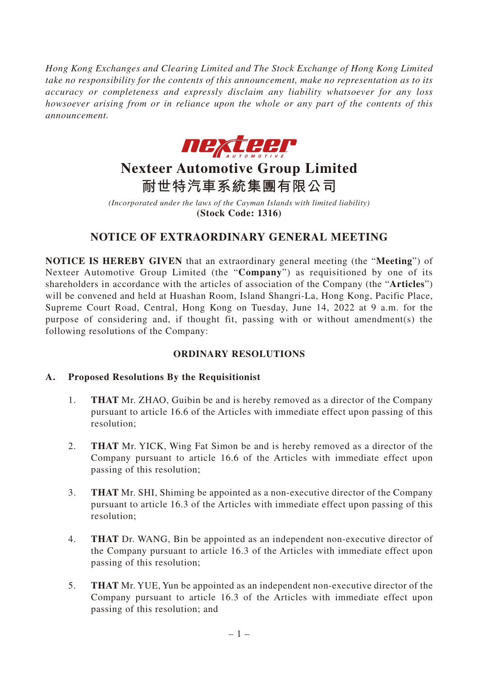*Hong Kong Exchanges and Clearing Limited and The Stock Exchange of Hong Kong Limited take no responsibility for the contents of this announcement, make no representation as to its accuracy or completeness and expressly disclaim any liability whatsoever for any loss howsoever arising from or in reliance upon the whole or any part of the contents of this announcement.*



# **Nexteer Automotive Group Limited 耐世特汽車系統集團有限公司**

*(Incorporated under the laws of the Cayman Islands with limited liability)* **(Stock Code: 1316)**

## **NOTICE OF EXTRAORDINARY GENERAL MEETING**

**NOTICE IS HEREBY GIVEN** that an extraordinary general meeting (the "**Meeting**") of Nexteer Automotive Group Limited (the "**Company**") as requisitioned by one of its shareholders in accordance with the articles of association of the Company (the "**Articles**") will be convened and held at Huashan Room, Island Shangri-La, Hong Kong, Pacific Place, Supreme Court Road, Central, Hong Kong on Tuesday, June 14, 2022 at 9 a.m. for the purpose of considering and, if thought fit, passing with or without amendment(s) the following resolutions of the Company:

## **ORDINARY RESOLUTIONS**

### **A. Proposed Resolutions By the Requisitionist**

- 1. **THAT** Mr. ZHAO, Guibin be and is hereby removed as a director of the Company pursuant to article 16.6 of the Articles with immediate effect upon passing of this resolution;
- 2. **THAT** Mr. YICK, Wing Fat Simon be and is hereby removed as a director of the Company pursuant to article 16.6 of the Articles with immediate effect upon passing of this resolution;
- 3. **THAT** Mr. SHI, Shiming be appointed as a non-executive director of the Company pursuant to article 16.3 of the Articles with immediate effect upon passing of this resolution;
- 4. **THAT** Dr. WANG, Bin be appointed as an independent non-executive director of the Company pursuant to article 16.3 of the Articles with immediate effect upon passing of this resolution;
- 5. **THAT** Mr. YUE, Yun be appointed as an independent non-executive director of the Company pursuant to article 16.3 of the Articles with immediate effect upon passing of this resolution; and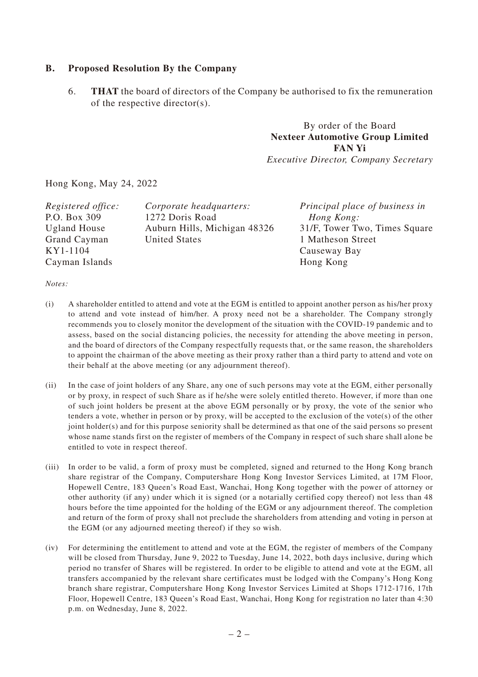#### **B. Proposed Resolution By the Company**

6. **THAT** the board of directors of the Company be authorised to fix the remuneration of the respective director(s).

> By order of the Board **Nexteer Automotive Group Limited FAN Yi**

*Executive Director, Company Secretary*

Hong Kong, May 24, 2022

| Registered office:  | Corporate headquarters:      | Principal place of business in |
|---------------------|------------------------------|--------------------------------|
| P.O. Box 309        | 1272 Doris Road              | Hong Kong:                     |
| <b>Ugland House</b> | Auburn Hills, Michigan 48326 | 31/F, Tower Two, Times Square  |
| Grand Cayman        | <b>United States</b>         | 1 Matheson Street              |
| KY1-1104            |                              | Causeway Bay                   |
| Cayman Islands      |                              | Hong Kong                      |

*Notes:*

- (i) A shareholder entitled to attend and vote at the EGM is entitled to appoint another person as his/her proxy to attend and vote instead of him/her. A proxy need not be a shareholder. The Company strongly recommends you to closely monitor the development of the situation with the COVID-19 pandemic and to assess, based on the social distancing policies, the necessity for attending the above meeting in person, and the board of directors of the Company respectfully requests that, or the same reason, the shareholders to appoint the chairman of the above meeting as their proxy rather than a third party to attend and vote on their behalf at the above meeting (or any adjournment thereof).
- (ii) In the case of joint holders of any Share, any one of such persons may vote at the EGM, either personally or by proxy, in respect of such Share as if he/she were solely entitled thereto. However, if more than one of such joint holders be present at the above EGM personally or by proxy, the vote of the senior who tenders a vote, whether in person or by proxy, will be accepted to the exclusion of the vote(s) of the other joint holder(s) and for this purpose seniority shall be determined as that one of the said persons so present whose name stands first on the register of members of the Company in respect of such share shall alone be entitled to vote in respect thereof.
- (iii) In order to be valid, a form of proxy must be completed, signed and returned to the Hong Kong branch share registrar of the Company, Computershare Hong Kong Investor Services Limited, at 17M Floor, Hopewell Centre, 183 Queen's Road East, Wanchai, Hong Kong together with the power of attorney or other authority (if any) under which it is signed (or a notarially certified copy thereof) not less than 48 hours before the time appointed for the holding of the EGM or any adjournment thereof. The completion and return of the form of proxy shall not preclude the shareholders from attending and voting in person at the EGM (or any adjourned meeting thereof) if they so wish.
- (iv) For determining the entitlement to attend and vote at the EGM, the register of members of the Company will be closed from Thursday, June 9, 2022 to Tuesday, June 14, 2022, both days inclusive, during which period no transfer of Shares will be registered. In order to be eligible to attend and vote at the EGM, all transfers accompanied by the relevant share certificates must be lodged with the Company's Hong Kong branch share registrar, Computershare Hong Kong Investor Services Limited at Shops 1712-1716, 17th Floor, Hopewell Centre, 183 Queen's Road East, Wanchai, Hong Kong for registration no later than 4:30 p.m. on Wednesday, June 8, 2022.